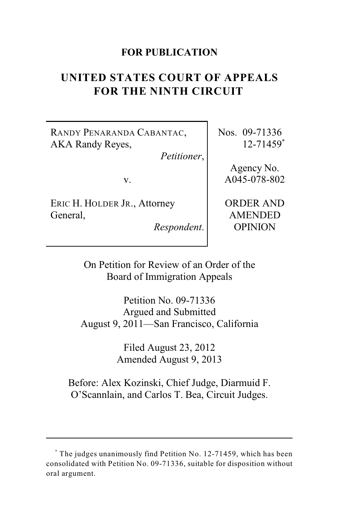## **FOR PUBLICATION**

# **UNITED STATES COURT OF APPEALS FOR THE NINTH CIRCUIT**

RANDY PENARANDA CABANTAC, AKA Randy Reyes,

*Petitioner*,

v.

ERIC H. HOLDER JR., Attorney General,

*Respondent*.

Nos. 09-71336 12-71459\*

> Agency No. A045-078-802

> ORDER AND AMENDED OPINION

On Petition for Review of an Order of the Board of Immigration Appeals

Petition No. 09-71336 Argued and Submitted August 9, 2011—San Francisco, California

> Filed August 23, 2012 Amended August 9, 2013

Before: Alex Kozinski, Chief Judge, Diarmuid F. O'Scannlain, and Carlos T. Bea, Circuit Judges.

The judges unanimously find Petition No. 12-71459, which has been \* consolidated with Petition No. 09-71336, suitable for disposition without oral argument.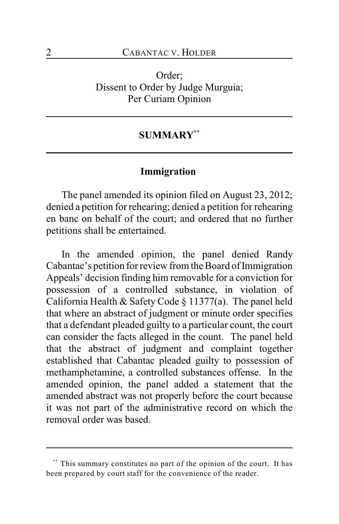Order; Dissent to Order by Judge Murguia; Per Curiam Opinion

## **SUMMARY \*\***

#### **Immigration**

The panel amended its opinion filed on August 23, 2012; denied a petition for rehearing; denied a petition for rehearing en banc on behalf of the court; and ordered that no further petitions shall be entertained.

In the amended opinion, the panel denied Randy Cabantac's petition for review from the Board of Immigration Appeals' decision finding him removable for a conviction for possession of a controlled substance, in violation of California Health & Safety Code § 11377(a). The panel held that where an abstract of judgment or minute order specifies that a defendant pleaded guilty to a particular count, the court can consider the facts alleged in the count. The panel held that the abstract of judgment and complaint together established that Cabantac pleaded guilty to possession of methamphetamine, a controlled substances offense. In the amended opinion, the panel added a statement that the amended abstract was not properly before the court because it was not part of the administrative record on which the removal order was based.

This summary constitutes no part of the opinion of the court. It has **\*\*** been prepared by court staff for the convenience of the reader.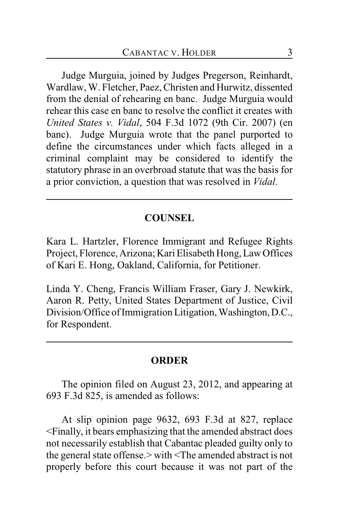Judge Murguia, joined by Judges Pregerson, Reinhardt, Wardlaw, W. Fletcher, Paez, Christen and Hurwitz, dissented from the denial of rehearing en banc. Judge Murguia would rehear this case en banc to resolve the conflict it creates with *United States v. Vidal*, 504 F.3d 1072 (9th Cir. 2007) (en banc). Judge Murguia wrote that the panel purported to define the circumstances under which facts alleged in a criminal complaint may be considered to identify the statutory phrase in an overbroad statute that was the basis for a prior conviction, a question that was resolved in *Vidal*.

## **COUNSEL**

Kara L. Hartzler, Florence Immigrant and Refugee Rights Project, Florence, Arizona; Kari Elisabeth Hong, Law Offices of Kari E. Hong, Oakland, California, for Petitioner.

Linda Y. Cheng, Francis William Fraser, Gary J. Newkirk, Aaron R. Petty, United States Department of Justice, Civil Division/Office of Immigration Litigation, Washington, D.C., for Respondent.

#### **ORDER**

The opinion filed on August 23, 2012, and appearing at 693 F.3d 825, is amended as follows:

At slip opinion page 9632, 693 F.3d at 827, replace <Finally, it bears emphasizing that the amended abstract does not necessarily establish that Cabantac pleaded guilty only to the general state offense.> with <The amended abstract is not properly before this court because it was not part of the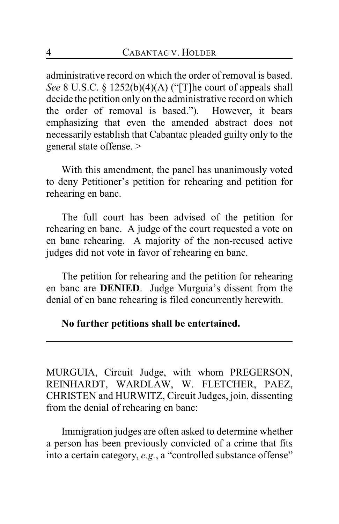administrative record on which the order of removal is based. *See* 8 U.S.C. § 1252(b)(4)(A) ("[T]he court of appeals shall decide the petition only on the administrative record on which the order of removal is based."). However, it bears emphasizing that even the amended abstract does not necessarily establish that Cabantac pleaded guilty only to the general state offense. >

With this amendment, the panel has unanimously voted to deny Petitioner's petition for rehearing and petition for rehearing en banc.

The full court has been advised of the petition for rehearing en banc. A judge of the court requested a vote on en banc rehearing. A majority of the non-recused active judges did not vote in favor of rehearing en banc.

The petition for rehearing and the petition for rehearing en banc are **DENIED**. Judge Murguia's dissent from the denial of en banc rehearing is filed concurrently herewith.

## **No further petitions shall be entertained.**

MURGUIA, Circuit Judge, with whom PREGERSON, REINHARDT, WARDLAW, W. FLETCHER, PAEZ, CHRISTEN and HURWITZ, Circuit Judges, join, dissenting from the denial of rehearing en banc:

Immigration judges are often asked to determine whether a person has been previously convicted of a crime that fits into a certain category, *e.g.*, a "controlled substance offense"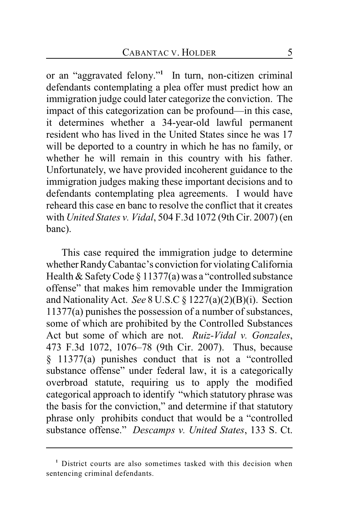or an "aggravated felony."<sup>1</sup> In turn, non-citizen criminal defendants contemplating a plea offer must predict how an immigration judge could later categorize the conviction. The impact of this categorization can be profound—in this case, it determines whether a 34-year-old lawful permanent resident who has lived in the United States since he was 17 will be deported to a country in which he has no family, or whether he will remain in this country with his father. Unfortunately, we have provided incoherent guidance to the immigration judges making these important decisions and to defendants contemplating plea agreements. I would have reheard this case en banc to resolve the conflict that it creates with *United States v. Vidal*, 504 F.3d 1072 (9th Cir. 2007) (en banc).

This case required the immigration judge to determine whether Randy Cabantac's conviction for violating California Health & Safety Code § 11377(a) was a "controlled substance offense" that makes him removable under the Immigration and Nationality Act. *See* 8 U.S.C § 1227(a)(2)(B)(i). Section 11377(a) punishes the possession of a number of substances, some of which are prohibited by the Controlled Substances Act but some of which are not. *Ruiz-Vidal v. Gonzales*, 473 F.3d 1072, 1076–78 (9th Cir. 2007). Thus, because § 11377(a) punishes conduct that is not a "controlled substance offense" under federal law, it is a categorically overbroad statute, requiring us to apply the modified categorical approach to identify "which statutory phrase was the basis for the conviction," and determine if that statutory phrase only prohibits conduct that would be a "controlled substance offense." *Descamps v. United States*, 133 S. Ct.

<sup>&</sup>lt;sup>1</sup> District courts are also sometimes tasked with this decision when sentencing criminal defendants.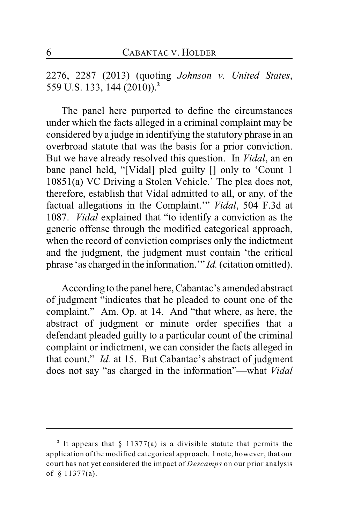2276, 2287 (2013) (quoting *Johnson v. United States*, 559 U.S. 133, 144 (2010)).**<sup>2</sup>**

The panel here purported to define the circumstances under which the facts alleged in a criminal complaint may be considered by a judge in identifying the statutory phrase in an overbroad statute that was the basis for a prior conviction. But we have already resolved this question. In *Vidal*, an en banc panel held, "[Vidal] pled guilty [] only to 'Count 1 10851(a) VC Driving a Stolen Vehicle.' The plea does not, therefore, establish that Vidal admitted to all, or any, of the factual allegations in the Complaint.'" *Vidal*, 504 F.3d at 1087. *Vidal* explained that "to identify a conviction as the generic offense through the modified categorical approach, when the record of conviction comprises only the indictment and the judgment, the judgment must contain 'the critical phrase 'as charged in the information.'" *Id.* (citation omitted).

According to the panel here, Cabantac's amended abstract of judgment "indicates that he pleaded to count one of the complaint." Am. Op. at 14. And "that where, as here, the abstract of judgment or minute order specifies that a defendant pleaded guilty to a particular count of the criminal complaint or indictment, we can consider the facts alleged in that count." *Id.* at 15. But Cabantac's abstract of judgment does not say "as charged in the information"—what *Vidal*

<sup>&</sup>lt;sup>2</sup> It appears that  $\S$  11377(a) is a divisible statute that permits the application of the modified categorical approach. I note, however, that our court has not yet considered the impact of *Descamps* on our prior analysis of § 11377(a).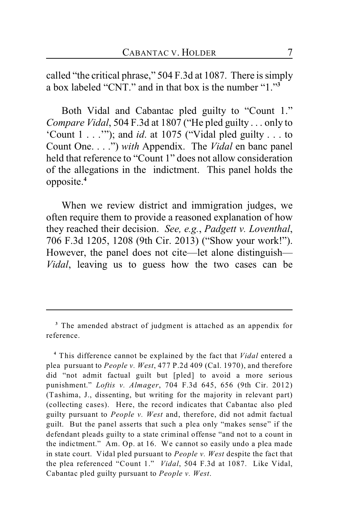called "the critical phrase," 504 F.3d at 1087. There is simply a box labeled "CNT." and in that box is the number "1."**<sup>3</sup>**

Both Vidal and Cabantac pled guilty to "Count 1." *Compare Vidal*, 504 F.3d at 1807 ("He pled guilty . . . only to 'Count 1 . . .'"); and *id*. at 1075 ("Vidal pled guilty . . . to Count One. . . .") *with* Appendix. The *Vidal* en banc panel held that reference to "Count 1" does not allow consideration of the allegations in the indictment. This panel holds the opposite.**<sup>4</sup>**

When we review district and immigration judges, we often require them to provide a reasoned explanation of how they reached their decision. *See, e.g.*, *Padgett v. Loventhal*, 706 F.3d 1205, 1208 (9th Cir. 2013) ("Show your work!"). However, the panel does not cite—let alone distinguish— *Vidal*, leaving us to guess how the two cases can be

<sup>&</sup>lt;sup>3</sup> The amended abstract of judgment is attached as an appendix for reference.

This difference cannot be explained by the fact that *Vidal* entered a **4** plea pursuant to *People v. West*, 477 P.2d 409 (Cal. 1970), and therefore did "not admit factual guilt but [pled] to avoid a more serious punishment." *Loftis v. Almager*, 704 F.3d 645, 656 (9th Cir. 2012) (Tashima, J., dissenting, but writing for the majority in relevant part) (collecting cases). Here, the record indicates that Cabantac also pled guilty pursuant to *People v. West* and, therefore, did not admit factual guilt. But the panel asserts that such a plea only "makes sense" if the defendant pleads guilty to a state criminal offense "and not to a count in the indictment." Am. Op. at 16. We cannot so easily undo a plea made in state court. Vidal pled pursuant to *People v. West* despite the fact that the plea referenced "Count 1." *Vidal*, 504 F.3d at 1087. Like Vidal, Cabantac pled guilty pursuant to *People v. West*.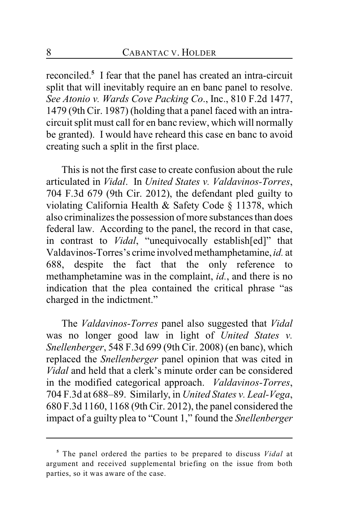reconciled.<sup>5</sup> I fear that the panel has created an intra-circuit split that will inevitably require an en banc panel to resolve. *See Atonio v. Wards Cove Packing Co*., Inc., 810 F.2d 1477, 1479 (9th Cir. 1987) (holding that a panel faced with an intracircuit split must call for en banc review, which will normally be granted). I would have reheard this case en banc to avoid creating such a split in the first place.

This is not the first case to create confusion about the rule articulated in *Vidal*. In *United States v. Valdavinos-Torres*, 704 F.3d 679 (9th Cir. 2012), the defendant pled guilty to violating California Health & Safety Code § 11378, which also criminalizes the possession of more substances than does federal law. According to the panel, the record in that case, in contrast to *Vidal*, "unequivocally establish[ed]" that Valdavinos-Torres's crime involved methamphetamine, *id.* at 688, despite the fact that the only reference to methamphetamine was in the complaint, *id.*, and there is no indication that the plea contained the critical phrase "as charged in the indictment."

The *Valdavinos-Torres* panel also suggested that *Vidal* was no longer good law in light of *United States v. Snellenberger*, 548 F.3d 699 (9th Cir. 2008) (en banc), which replaced the *Snellenberger* panel opinion that was cited in *Vidal* and held that a clerk's minute order can be considered in the modified categorical approach. *Valdavinos-Torres*, 704 F.3d at 688–89. Similarly, in *United States v. Leal-Vega*, 680 F.3d 1160, 1168 (9th Cir. 2012), the panel considered the impact of a guilty plea to "Count 1," found the *Snellenberger*

<sup>&</sup>lt;sup>5</sup> The panel ordered the parties to be prepared to discuss *Vidal* at argument and received supplemental briefing on the issue from both parties, so it was aware of the case.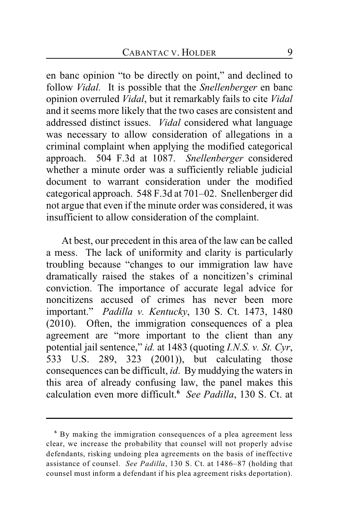en banc opinion "to be directly on point," and declined to follow *Vidal.* It is possible that the *Snellenberger* en banc opinion overruled *Vidal*, but it remarkably fails to cite *Vidal* and it seems more likely that the two cases are consistent and addressed distinct issues. *Vidal* considered what language was necessary to allow consideration of allegations in a criminal complaint when applying the modified categorical approach.504 F.3d at 1087. *Snellenberger* considered whether a minute order was a sufficiently reliable judicial document to warrant consideration under the modified categorical approach. 548 F.3d at 701–02. Snellenberger did not argue that even if the minute order was considered, it was insufficient to allow consideration of the complaint.

At best, our precedent in this area of the law can be called a mess. The lack of uniformity and clarity is particularly troubling because "changes to our immigration law have dramatically raised the stakes of a noncitizen's criminal conviction. The importance of accurate legal advice for noncitizens accused of crimes has never been more important." *Padilla v. Kentucky*, 130 S. Ct. 1473, 1480 (2010). Often, the immigration consequences of a plea agreement are "more important to the client than any potential jail sentence," *id.* at 1483 (quoting *I.N.S. v. St. Cyr*, 533 U.S. 289, 323 (2001)), but calculating those consequences can be difficult, *id*. By muddying the waters in this area of already confusing law, the panel makes this calculation even more difficult. *See Padilla*, 130 S. Ct. at **<sup>6</sup>**

By making the immigration consequences of a plea agreement less **<sup>6</sup>** clear, we increase the probability that counsel will not properly advise defendants, risking undoing plea agreements on the basis of ineffective assistance of counsel. *See Padilla*, 130 S. Ct. at 1486–87 (holding that counsel must inform a defendant if his plea agreement risks deportation).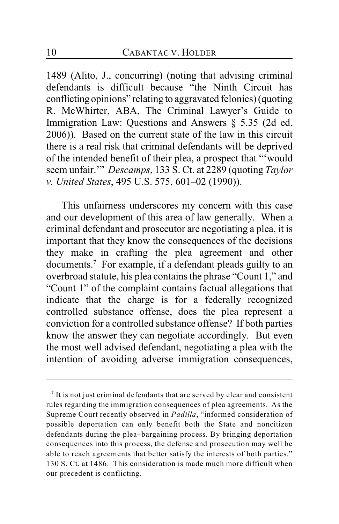1489 (Alito, J., concurring) (noting that advising criminal defendants is difficult because "the Ninth Circuit has conflicting opinions" relating to aggravated felonies) (quoting R. McWhirter, ABA, The Criminal Lawyer's Guide to Immigration Law: Questions and Answers § 5.35 (2d ed. 2006)). Based on the current state of the law in this circuit there is a real risk that criminal defendants will be deprived of the intended benefit of their plea, a prospect that "'would seem unfair.'" *Descamps*, 133 S. Ct. at 2289 (quoting *Taylor v. United States*, 495 U.S. 575, 601–02 (1990)).

This unfairness underscores my concern with this case and our development of this area of law generally. When a criminal defendant and prosecutor are negotiating a plea, it is important that they know the consequences of the decisions they make in crafting the plea agreement and other documents.<sup>7</sup> For example, if a defendant pleads guilty to an overbroad statute, his plea contains the phrase "Count 1," and "Count 1" of the complaint contains factual allegations that indicate that the charge is for a federally recognized controlled substance offense, does the plea represent a conviction for a controlled substance offense? If both parties know the answer they can negotiate accordingly. But even the most well advised defendant, negotiating a plea with the intention of avoiding adverse immigration consequences,

It is not just criminal defendants that are served by clear and consistent **<sup>7</sup>** rules regarding the immigration consequences of plea agreements. As the Supreme Court recently observed in *Padilla*, "informed consideration of possible deportation can only benefit both the State and noncitizen defendants during the plea–bargaining process. By bringing deportation consequences into this process, the defense and prosecution may well be able to reach agreements that better satisfy the interests of both parties." 130 S. Ct. at 1486. This consideration is made much more difficult when our precedent is conflicting.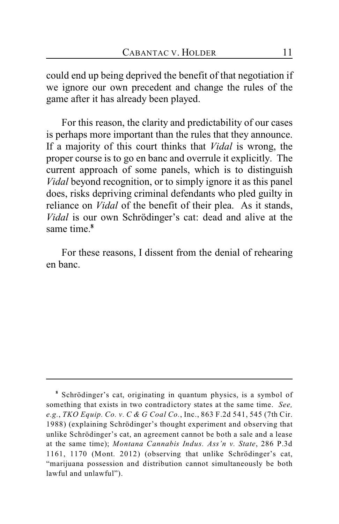could end up being deprived the benefit of that negotiation if we ignore our own precedent and change the rules of the game after it has already been played.

For this reason, the clarity and predictability of our cases is perhaps more important than the rules that they announce. If a majority of this court thinks that *Vidal* is wrong, the proper course is to go en banc and overrule it explicitly. The current approach of some panels, which is to distinguish *Vidal* beyond recognition, or to simply ignore it as this panel does, risks depriving criminal defendants who pled guilty in reliance on *Vidal* of the benefit of their plea. As it stands, *Vidal* is our own Schrödinger's cat: dead and alive at the same time.**<sup>8</sup>**

For these reasons, I dissent from the denial of rehearing en banc.

<sup>&</sup>lt;sup>8</sup> Schrödinger's cat, originating in quantum physics, is a symbol of something that exists in two contradictory states at the same time. *See, e.g.*, *TKO Equip. Co. v. C & G Coal Co.*, Inc., 863 F.2d 541, 545 (7th Cir. 1988) (explaining Schrödinger's thought experiment and observing that unlike Schrödinger's cat, an agreement cannot be both a sale and a lease at the same time); *Montana Cannabis Indus. Ass'n v. State*, 286 P.3d 1161, 1170 (Mont. 2012) (observing that unlike Schrödinger's cat, "marijuana possession and distribution cannot simultaneously be both lawful and unlawful").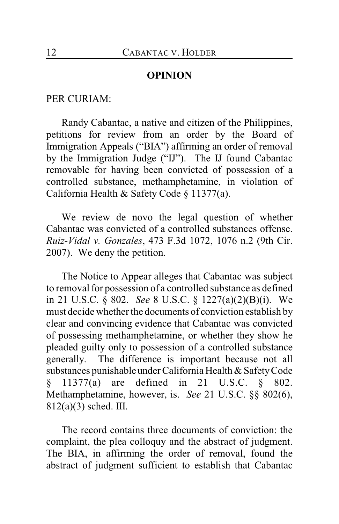#### **OPINION**

PER CURIAM:

Randy Cabantac, a native and citizen of the Philippines, petitions for review from an order by the Board of Immigration Appeals ("BIA") affirming an order of removal by the Immigration Judge ("IJ"). The IJ found Cabantac removable for having been convicted of possession of a controlled substance, methamphetamine, in violation of California Health & Safety Code § 11377(a).

We review de novo the legal question of whether Cabantac was convicted of a controlled substances offense. *Ruiz-Vidal v. Gonzales*, 473 F.3d 1072, 1076 n.2 (9th Cir. 2007). We deny the petition.

The Notice to Appear alleges that Cabantac was subject to removal for possession of a controlled substance as defined in 21 U.S.C. § 802. *See* 8 U.S.C. § 1227(a)(2)(B)(i). We must decide whether the documents of conviction establish by clear and convincing evidence that Cabantac was convicted of possessing methamphetamine, or whether they show he pleaded guilty only to possession of a controlled substance generally. The difference is important because not all substances punishable under California Health & Safety Code § 11377(a) are defined in 21 U.S.C. § 802. Methamphetamine, however, is. *See* 21 U.S.C. §§ 802(6), 812(a)(3) sched. III.

The record contains three documents of conviction: the complaint, the plea colloquy and the abstract of judgment. The BIA, in affirming the order of removal, found the abstract of judgment sufficient to establish that Cabantac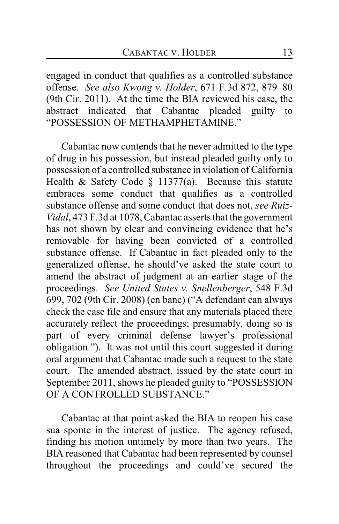engaged in conduct that qualifies as a controlled substance offense. *See also Kwong v. Holder*, 671 F.3d 872, 879–80 (9th Cir. 2011). At the time the BIA reviewed his case, the abstract indicated that Cabantac pleaded guilty to "POSSESSION OF METHAMPHETAMINE."

Cabantac now contends that he never admitted to the type of drug in his possession, but instead pleaded guilty only to possession of a controlled substance in violation of California Health & Safety Code  $\S$  11377(a). Because this statute embraces some conduct that qualifies as a controlled substance offense and some conduct that does not, *see Ruiz-Vidal*, 473 F.3d at 1078, Cabantac asserts that the government has not shown by clear and convincing evidence that he's removable for having been convicted of a controlled substance offense. If Cabantac in fact pleaded only to the generalized offense, he should've asked the state court to amend the abstract of judgment at an earlier stage of the proceedings. *See United States v. Snellenberger*, 548 F.3d 699, 702 (9th Cir. 2008) (en banc) ("A defendant can always check the case file and ensure that any materials placed there accurately reflect the proceedings; presumably, doing so is part of every criminal defense lawyer's professional obligation."). It was not until this court suggested it during oral argument that Cabantac made such a request to the state court. The amended abstract, issued by the state court in September 2011, shows he pleaded guilty to "POSSESSION OF A CONTROLLED SUBSTANCE "

Cabantac at that point asked the BIA to reopen his case sua sponte in the interest of justice. The agency refused, finding his motion untimely by more than two years. The BIA reasoned that Cabantac had been represented by counsel throughout the proceedings and could've secured the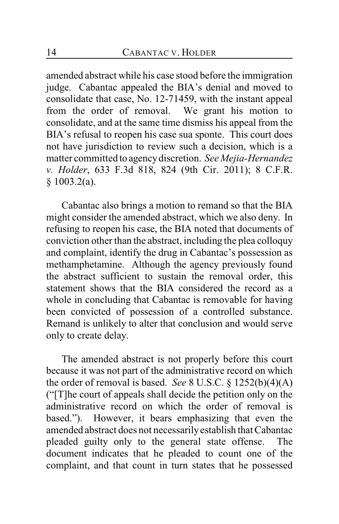amended abstract while his case stood before the immigration judge. Cabantac appealed the BIA's denial and moved to consolidate that case, No. 12-71459, with the instant appeal from the order of removal. We grant his motion to consolidate, and at the same time dismiss his appeal from the BIA's refusal to reopen his case sua sponte. This court does not have jurisdiction to review such a decision, which is a matter committed to agency discretion. *See Mejia-Hernandez v. Holder*, 633 F.3d 818, 824 (9th Cir. 2011); 8 C.F.R. § 1003.2(a).

Cabantac also brings a motion to remand so that the BIA might consider the amended abstract, which we also deny. In refusing to reopen his case, the BIA noted that documents of conviction other than the abstract, including the plea colloquy and complaint, identify the drug in Cabantac's possession as methamphetamine. Although the agency previously found the abstract sufficient to sustain the removal order, this statement shows that the BIA considered the record as a whole in concluding that Cabantac is removable for having been convicted of possession of a controlled substance. Remand is unlikely to alter that conclusion and would serve only to create delay.

The amended abstract is not properly before this court because it was not part of the administrative record on which the order of removal is based. *See* 8 U.S.C. § 1252(b)(4)(A) ("[T]he court of appeals shall decide the petition only on the administrative record on which the order of removal is based."). However, it bears emphasizing that even the amended abstract does not necessarily establish that Cabantac pleaded guilty only to the general state offense. The document indicates that he pleaded to count one of the complaint, and that count in turn states that he possessed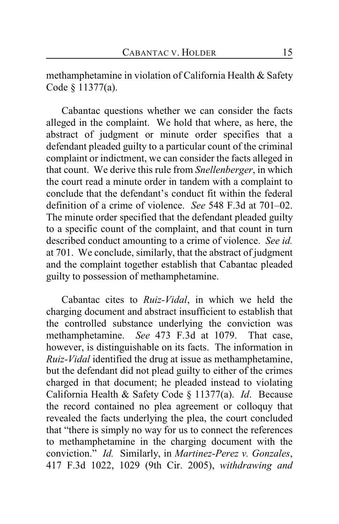methamphetamine in violation of California Health & Safety Code § 11377(a).

Cabantac questions whether we can consider the facts alleged in the complaint. We hold that where, as here, the abstract of judgment or minute order specifies that a defendant pleaded guilty to a particular count of the criminal complaint or indictment, we can consider the facts alleged in that count. We derive this rule from *Snellenberger*, in which the court read a minute order in tandem with a complaint to conclude that the defendant's conduct fit within the federal definition of a crime of violence. *See* 548 F.3d at 701–02. The minute order specified that the defendant pleaded guilty to a specific count of the complaint, and that count in turn described conduct amounting to a crime of violence. *See id.* at 701. We conclude, similarly, that the abstract of judgment and the complaint together establish that Cabantac pleaded guilty to possession of methamphetamine.

Cabantac cites to *Ruiz-Vidal*, in which we held the charging document and abstract insufficient to establish that the controlled substance underlying the conviction was methamphetamine. *See* 473 F.3d at 1079. That case, however, is distinguishable on its facts. The information in *Ruiz-Vidal* identified the drug at issue as methamphetamine, but the defendant did not plead guilty to either of the crimes charged in that document; he pleaded instead to violating California Health & Safety Code § 11377(a). *Id*. Because the record contained no plea agreement or colloquy that revealed the facts underlying the plea, the court concluded that "there is simply no way for us to connect the references to methamphetamine in the charging document with the conviction." *Id.* Similarly, in *Martinez-Perez v. Gonzales*, 417 F.3d 1022, 1029 (9th Cir. 2005), *withdrawing and*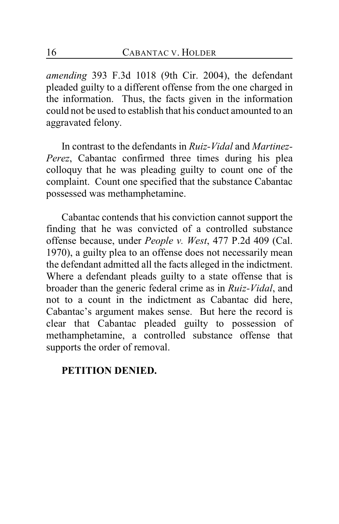*amending* 393 F.3d 1018 (9th Cir. 2004), the defendant pleaded guilty to a different offense from the one charged in the information. Thus, the facts given in the information could not be used to establish that his conduct amounted to an aggravated felony.

In contrast to the defendants in *Ruiz-Vidal* and *Martinez-Perez*, Cabantac confirmed three times during his plea colloquy that he was pleading guilty to count one of the complaint. Count one specified that the substance Cabantac possessed was methamphetamine.

Cabantac contends that his conviction cannot support the finding that he was convicted of a controlled substance offense because, under *People v. West*, 477 P.2d 409 (Cal. 1970), a guilty plea to an offense does not necessarily mean the defendant admitted all the facts alleged in the indictment. Where a defendant pleads guilty to a state offense that is broader than the generic federal crime as in *Ruiz-Vidal*, and not to a count in the indictment as Cabantac did here, Cabantac's argument makes sense. But here the record is clear that Cabantac pleaded guilty to possession of methamphetamine, a controlled substance offense that supports the order of removal.

## **PETITION DENIED.**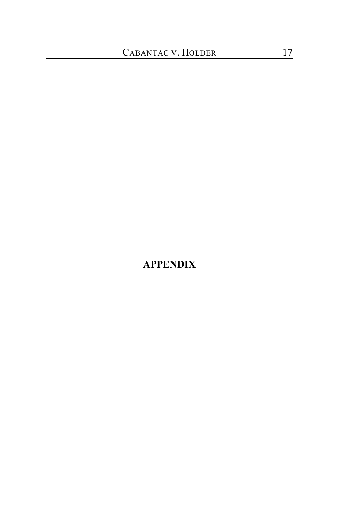## **APPENDIX**